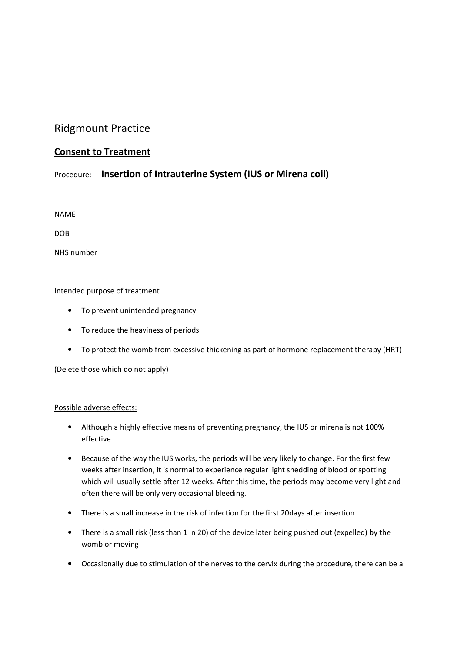# Ridgmount Practice

## Consent to Treatment

## Procedure: Insertion of Intrauterine System (IUS or Mirena coil)

NAME

DOB

NHS number

### Intended purpose of treatment

- To prevent unintended pregnancy
- To reduce the heaviness of periods
- To protect the womb from excessive thickening as part of hormone replacement therapy (HRT)

(Delete those which do not apply)

### Possible adverse effects:

- Although a highly effective means of preventing pregnancy, the IUS or mirena is not 100% effective
- Because of the way the IUS works, the periods will be very likely to change. For the first few weeks after insertion, it is normal to experience regular light shedding of blood or spotting which will usually settle after 12 weeks. After this time, the periods may become very light and often there will be only very occasional bleeding.
- There is a small increase in the risk of infection for the first 20days after insertion
- There is a small risk (less than 1 in 20) of the device later being pushed out (expelled) by the womb or moving
- Occasionally due to stimulation of the nerves to the cervix during the procedure, there can be a